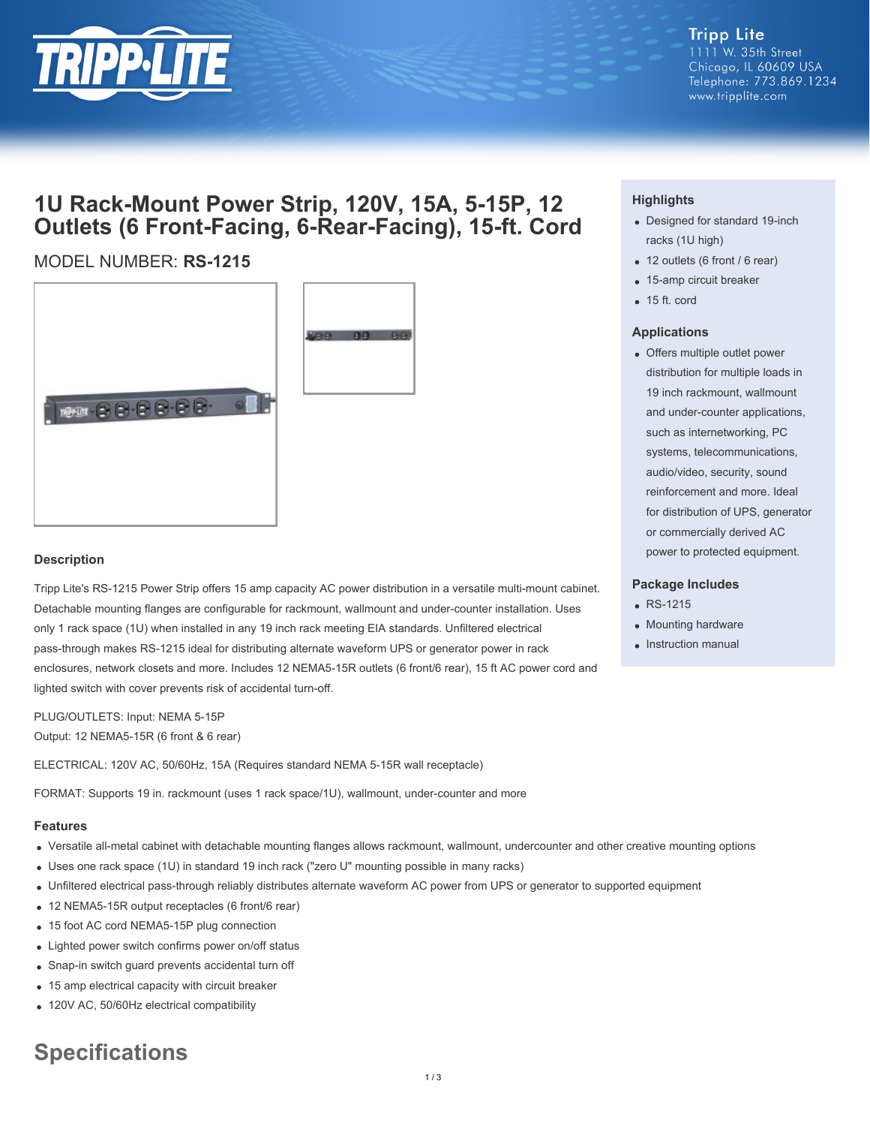

# **Tripp Lite**

1111 W. 35th Street Chicago, IL 60609 USA Telephone: 773.869.1234 www.tripplite.com

## **1U Rack-Mount Power Strip, 120V, 15A, 5-15P, 12 Outlets (6 Front-Facing, 6-Rear-Facing), 15-ft. Cord**

### MODEL NUMBER: **RS-1215**





#### **Description**

Tripp Lite's RS-1215 Power Strip offers 15 amp capacity AC power distribution in a versatile multi-mount cabinet. Detachable mounting flanges are configurable for rackmount, wallmount and under-counter installation. Uses only 1 rack space (1U) when installed in any 19 inch rack meeting EIA standards. Unfiltered electrical pass-through makes RS-1215 ideal for distributing alternate waveform UPS or generator power in rack enclosures, network closets and more. Includes 12 NEMA5-15R outlets (6 front/6 rear), 15 ft AC power cord and lighted switch with cover prevents risk of accidental turn-off.

PLUG/OUTLETS: Input: NEMA 5-15P Output: 12 NEMA5-15R (6 front & 6 rear)

ELECTRICAL: 120V AC, 50/60Hz, 15A (Requires standard NEMA 5-15R wall receptacle)

FORMAT: Supports 19 in. rackmount (uses 1 rack space/1U), wallmount, under-counter and more

#### **Features**

- Versatile all-metal cabinet with detachable mounting flanges allows rackmount, wallmount, undercounter and other creative mounting options
- Uses one rack space (1U) in standard 19 inch rack ("zero U" mounting possible in many racks)
- Unfiltered electrical pass-through reliably distributes alternate waveform AC power from UPS or generator to supported equipment
- 12 NEMA5-15R output receptacles (6 front/6 rear)
- 15 foot AC cord NEMA5-15P plug connection
- Lighted power switch confirms power on/off status
- Snap-in switch guard prevents accidental turn off
- 15 amp electrical capacity with circuit breaker
- 120V AC, 50/60Hz electrical compatibility

# **Specifications**

### **Highlights**

- Designed for standard 19-inch racks (1U high)
- 12 outlets (6 front / 6 rear)
- 15-amp circuit breaker
- $\bullet$  15 ft. cord

#### **Applications**

Offers multiple outlet power distribution for multiple loads in 19 inch rackmount, wallmount and under-counter applications, such as internetworking, PC systems, telecommunications, audio/video, security, sound reinforcement and more. Ideal for distribution of UPS, generator or commercially derived AC power to protected equipment.

#### **Package Includes**

- RS-1215
- Mounting hardware
- Instruction manual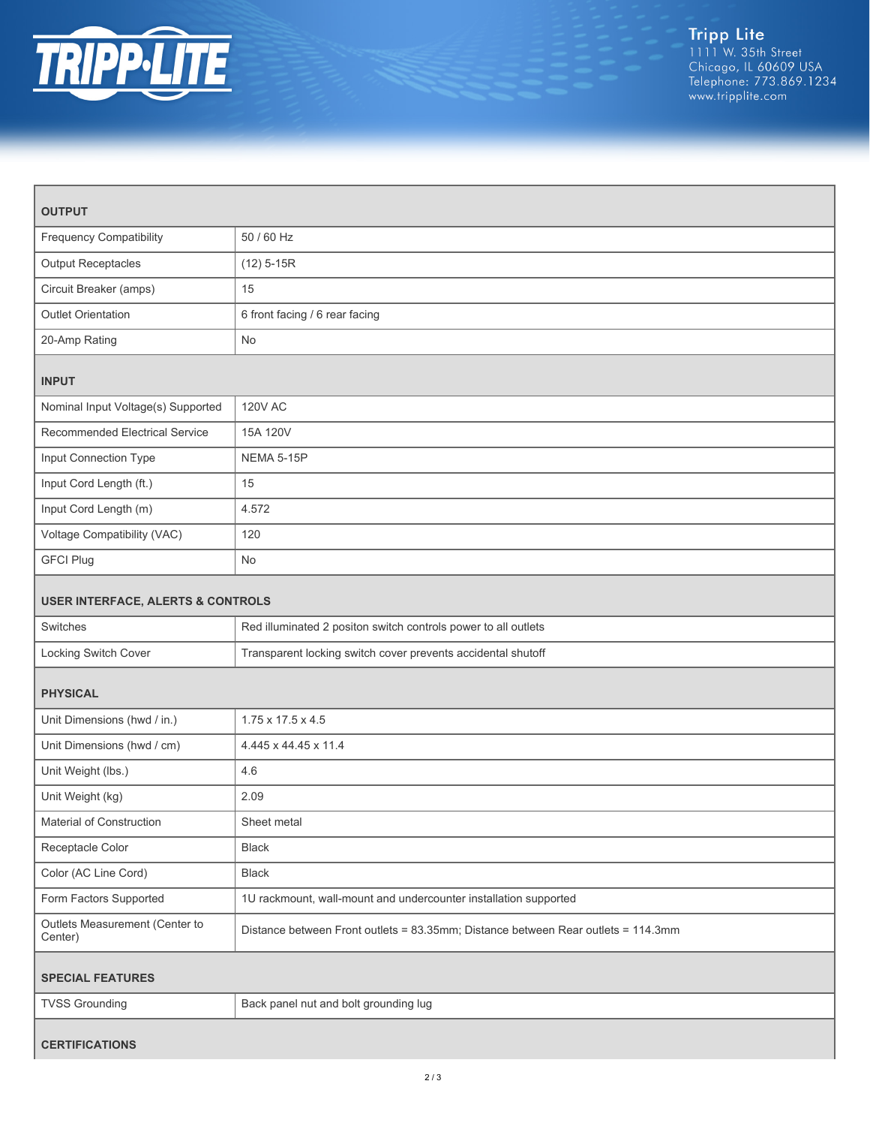

| <b>OUTPUT</b>                                |                                                                                   |  |
|----------------------------------------------|-----------------------------------------------------------------------------------|--|
| <b>Frequency Compatibility</b>               | 50 / 60 Hz                                                                        |  |
| <b>Output Receptacles</b>                    | $(12)$ 5-15R                                                                      |  |
| Circuit Breaker (amps)                       | 15                                                                                |  |
| <b>Outlet Orientation</b>                    | 6 front facing / 6 rear facing                                                    |  |
| 20-Amp Rating                                | No                                                                                |  |
| <b>INPUT</b>                                 |                                                                                   |  |
| Nominal Input Voltage(s) Supported           | <b>120V AC</b>                                                                    |  |
| Recommended Electrical Service               | 15A 120V                                                                          |  |
| Input Connection Type                        | NEMA 5-15P                                                                        |  |
| Input Cord Length (ft.)                      | 15                                                                                |  |
| Input Cord Length (m)                        | 4.572                                                                             |  |
| Voltage Compatibility (VAC)                  | 120                                                                               |  |
| <b>GFCI Plug</b>                             | No                                                                                |  |
| <b>USER INTERFACE, ALERTS &amp; CONTROLS</b> |                                                                                   |  |
| Switches                                     | Red illuminated 2 positon switch controls power to all outlets                    |  |
| Locking Switch Cover                         | Transparent locking switch cover prevents accidental shutoff                      |  |
| <b>PHYSICAL</b>                              |                                                                                   |  |
| Unit Dimensions (hwd / in.)                  | 1.75 x 17.5 x 4.5                                                                 |  |
| Unit Dimensions (hwd / cm)                   | 4.445 x 44.45 x 11.4                                                              |  |
| Unit Weight (lbs.)                           | 4.6                                                                               |  |
| Unit Weight (kg)                             | 2.09                                                                              |  |
| Material of Construction                     | Sheet metal                                                                       |  |
| Receptacle Color                             | Black                                                                             |  |
| Color (AC Line Cord)                         | Black                                                                             |  |
| Form Factors Supported                       | 1U rackmount, wall-mount and undercounter installation supported                  |  |
| Outlets Measurement (Center to<br>Center)    | Distance between Front outlets = 83.35mm; Distance between Rear outlets = 114.3mm |  |
| <b>SPECIAL FEATURES</b>                      |                                                                                   |  |
| <b>TVSS Grounding</b>                        | Back panel nut and bolt grounding lug                                             |  |
| <b>CERTIFICATIONS</b>                        |                                                                                   |  |